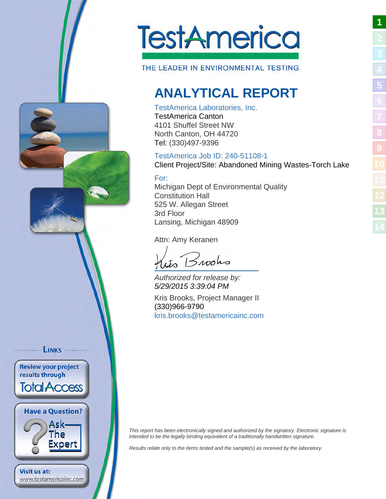<span id="page-0-0"></span>

THE LEADER IN ENVIRONMENTAL TESTING

# <span id="page-0-1"></span>**ANALYTICAL REPORT**

### TestAmerica Laboratories, Inc.

TestAmerica Canton 4101 Shuffel Street NW North Canton, OH 44720 Tel: (330)497-9396

# TestAmerica Job ID: 240-51108-1

Client Project/Site: Abandoned Mining Wastes-Torch Lake

### For:

Michigan Dept of Environmental Quality Constitution Hall 525 W. Allegan Street 3rd Floor Lansing, Michigan 48909

Attn: Amy Keranen

 $B$ 100ho

Authorized for release by: 5/29/2015 3:39:04 PM

Kris Brooks, Project Manager II (330)966-9790 [kris.brooks@testamericainc.](mailto:kris.brooks@testamericainc.com)com

This report has been electronically signed and authorized by the signatory. Electronic signature is intended to be the legally binding equivalent of a traditionally handwritten signature.

Results relate only to the items tested and the sample(s) as received by the laboratory.

.. **LINKS** ........... **Review your project** results through **Total Access Have a Question?** Ask-The Expert **Visit us at:** 

www.testamericainc.com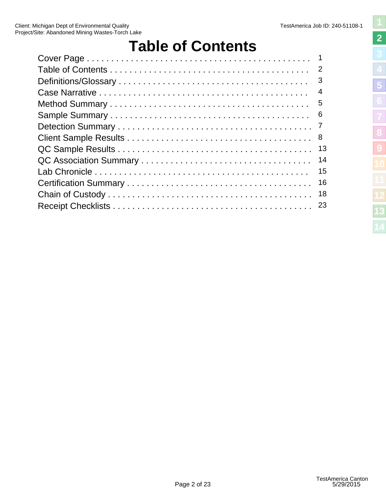# <span id="page-1-1"></span>**Table of Contents**

<span id="page-1-0"></span>

| 3  |
|----|
| 4  |
|    |
| -6 |
| 7  |
|    |
| 13 |
| 14 |
| 15 |
| 16 |
| 18 |
| 23 |
|    |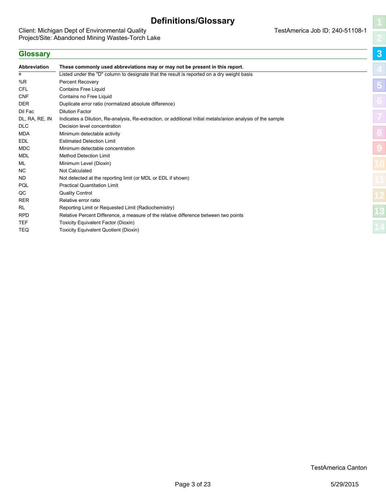# <span id="page-2-1"></span>**Definitions/Glossary**

<span id="page-2-0"></span>Client: Michigan Dept of Environmental Quality **TestAmerica Job ID: 240-51108-1** Project/Site: Abandoned Mining Wastes-Torch Lake

| <b>Glossary</b> |                                                                                                             |
|-----------------|-------------------------------------------------------------------------------------------------------------|
| Abbreviation    | These commonly used abbreviations may or may not be present in this report.                                 |
| $\alpha$        | Listed under the "D" column to designate that the result is reported on a dry weight basis                  |
| %R              | Percent Recovery                                                                                            |
| <b>CFL</b>      | <b>Contains Free Liquid</b>                                                                                 |
| <b>CNF</b>      | Contains no Free Liquid                                                                                     |
| <b>DER</b>      | Duplicate error ratio (normalized absolute difference)                                                      |
| Dil Fac         | <b>Dilution Factor</b>                                                                                      |
| DL, RA, RE, IN  | Indicates a Dilution, Re-analysis, Re-extraction, or additional Initial metals/anion analysis of the sample |
| <b>DLC</b>      | Decision level concentration                                                                                |
| <b>MDA</b>      | Minimum detectable activity                                                                                 |
| EDL             | <b>Estimated Detection Limit</b>                                                                            |
| <b>MDC</b>      | Minimum detectable concentration                                                                            |
| <b>MDL</b>      | <b>Method Detection Limit</b>                                                                               |
| ML              | Minimum Level (Dioxin)                                                                                      |
| <b>NC</b>       | <b>Not Calculated</b>                                                                                       |
| ND.             | Not detected at the reporting limit (or MDL or EDL if shown)                                                |
| PQL             | <b>Practical Quantitation Limit</b>                                                                         |
| QC              | <b>Quality Control</b>                                                                                      |
| <b>RER</b>      | Relative error ratio                                                                                        |
| <b>RL</b>       | Reporting Limit or Requested Limit (Radiochemistry)                                                         |
| <b>RPD</b>      | Relative Percent Difference, a measure of the relative difference between two points                        |
| <b>TEF</b>      | <b>Toxicity Equivalent Factor (Dioxin)</b>                                                                  |
| <b>TEQ</b>      | <b>Toxicity Equivalent Quotient (Dioxin)</b>                                                                |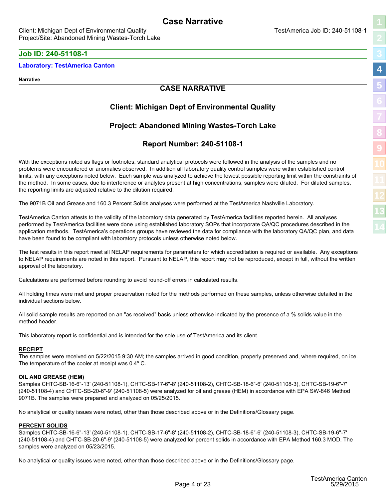### <span id="page-3-0"></span>**Job ID: 240-51108-1**

#### **Laboratory: TestAmerica Canton**

**Narrative**

### <span id="page-3-1"></span>**CASE NARRATIVE**

### **Client: Michigan Dept of Environmental Quality**

### **Project: Abandoned Mining Wastes-Torch Lake**

### **Report Number: 240-51108-1**

With the exceptions noted as flags or footnotes, standard analytical protocols were followed in the analysis of the samples and no problems were encountered or anomalies observed. In addition all laboratory quality control samples were within established control limits, with any exceptions noted below. Each sample was analyzed to achieve the lowest possible reporting limit within the constraints of the method. In some cases, due to interference or analytes present at high concentrations, samples were diluted. For diluted samples, the reporting limits are adjusted relative to the dilution required.

The 9071B Oil and Grease and 160.3 Percent Solids analyses were performed at the TestAmerica Nashville Laboratory.

TestAmerica Canton attests to the validity of the laboratory data generated by TestAmerica facilities reported herein. All analyses performed by TestAmerica facilities were done using established laboratory SOPs that incorporate QA/QC procedures described in the application methods. TestAmerica's operations groups have reviewed the data for compliance with the laboratory QA/QC plan, and data have been found to be compliant with laboratory protocols unless otherwise noted below.

The test results in this report meet all NELAP requirements for parameters for which accreditation is required or available. Any exceptions to NELAP requirements are noted in this report. Pursuant to NELAP, this report may not be reproduced, except in full, without the written approval of the laboratory.

Calculations are performed before rounding to avoid round-off errors in calculated results.

All holding times were met and proper preservation noted for the methods performed on these samples, unless otherwise detailed in the individual sections below.

All solid sample results are reported on an "as received" basis unless otherwise indicated by the presence of a % solids value in the method header.

This laboratory report is confidential and is intended for the sole use of TestAmerica and its client.

#### **RECEIPT**

The samples were received on 5/22/2015 9:30 AM; the samples arrived in good condition, properly preserved and, where required, on ice. The temperature of the cooler at receipt was 0.4º C.

#### **OIL AND GREASE (HEM)**

Samples CHTC-SB-16-6"-13' (240-51108-1), CHTC-SB-17-6"-8' (240-51108-2), CHTC-SB-18-6"-6' (240-51108-3), CHTC-SB-19-6"-7' (240-51108-4) and CHTC-SB-20-6"-9' (240-51108-5) were analyzed for oil and grease (HEM) in accordance with EPA SW-846 Method 9071B. The samples were prepared and analyzed on 05/25/2015.

No analytical or quality issues were noted, other than those described above or in the Definitions/Glossary page.

#### **PERCENT SOLIDS**

Samples CHTC-SB-16-6"-13' (240-51108-1), CHTC-SB-17-6"-8' (240-51108-2), CHTC-SB-18-6"-6' (240-51108-3), CHTC-SB-19-6"-7' (240-51108-4) and CHTC-SB-20-6"-9' (240-51108-5) were analyzed for percent solids in accordance with EPA Method 160.3 MOD. The samples were analyzed on 05/23/2015.

No analytical or quality issues were noted, other than those described above or in the Definitions/Glossary page.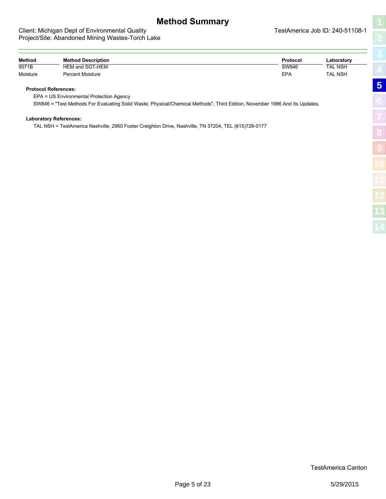# <span id="page-4-1"></span>**Method Summary**

#### <span id="page-4-0"></span>Client: Michigan Dept of Environmental Quality **TestAmerica Job ID: 240-51108-1** Project/Site: Abandoned Mining Wastes-Torch Lake

| Method   | <b>Method Description</b> | Protocol | Laboratory     |
|----------|---------------------------|----------|----------------|
| 9071B    | HEM and SGT-HEM           | SW846    | <b>TAL NSH</b> |
| Moisture | Percent Moisture          | EPA      | <b>TAL NSH</b> |

#### **Protocol References:**

EPA = US Environmental Protection Agency

SW846 = "Test Methods For Evaluating Solid Waste, Physical/Chemical Methods", Third Edition, November 1986 And Its Updates.

#### **Laboratory References:**

TAL NSH = TestAmerica Nashville, 2960 Foster Creighton Drive, Nashville, TN 37204, TEL (615)726-0177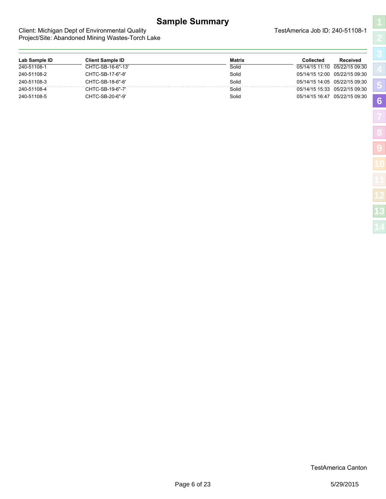# **Sample Summary**

<span id="page-5-1"></span>**[5](#page-4-0)**

**[6](#page-5-0)**

**[8](#page-7-0)**

**[9](#page-12-0)**

#### <span id="page-5-0"></span>Client: Michigan Dept of Environmental Quality Client: Michigan Dept of Environmental Quality Project/Site: Abandoned Mining Wastes-Torch Lake

| Lab Sample ID | <b>Client Sample ID</b> | <b>Matrix</b> | Collected                     | <b>Received</b> |
|---------------|-------------------------|---------------|-------------------------------|-----------------|
| 240-51108-1   | CHTC-SB-16-6"-13'       | Solid         | 05/14/15 11:10 05/22/15 09:30 |                 |
| 240-51108-2   | CHTC-SB-17-6"-8"        | Solid         | 05/14/15 12:00 05/22/15 09:30 |                 |
| 240-51108-3   | CHTC-SB-18-6"-6"        | Solid         | 05/14/15 14:05 05/22/15 09:30 |                 |
| 240-51108-4   | CHTC-SB-19-6"-7'        | Solid         | 05/14/15 15:33 05/22/15 09:30 |                 |
| 240-51108-5   | CHTC-SB-20-6"-9'        | Solid         | 05/14/15 16:47                | 05/22/15 09:30  |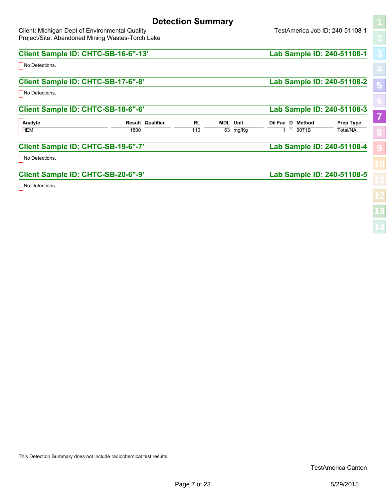# <span id="page-6-1"></span>**Detection Summary**

<span id="page-6-0"></span>Client: Michigan Dept of Environmental Quality Client: Michigan Dept of Environmental Quality Project/Site: Abandoned Mining Wastes-Torch Lake

| Client Sample ID: CHTC-SB-16-6"-13' |      |                         |           |                 |                  |       | Lab Sample ID: 240-51108-1 |                         |
|-------------------------------------|------|-------------------------|-----------|-----------------|------------------|-------|----------------------------|-------------------------|
| No Detections.                      |      |                         |           |                 |                  |       |                            |                         |
| Client Sample ID: CHTC-SB-17-6"-8"  |      |                         |           |                 |                  |       | Lab Sample ID: 240-51108-2 | $\overline{\mathbf{5}}$ |
| No Detections.                      |      |                         |           |                 |                  |       |                            |                         |
| Client Sample ID: CHTC-SB-18-6"-6"  |      |                         |           |                 |                  |       | Lab Sample ID: 240-51108-3 |                         |
| Analyte                             |      | <b>Result Qualifier</b> | <b>RL</b> | <b>MDL</b> Unit | Dil Fac D Method |       | <b>Prep Type</b>           | 7                       |
| <b>HEM</b>                          | 1800 |                         | 110       | 63 mg/Kg        | ឃ                | 9071B | Total/NA                   |                         |
| Client Sample ID: CHTC-SB-19-6"-7'  |      |                         |           |                 |                  |       | Lab Sample ID: 240-51108-4 |                         |
| No Detections.                      |      |                         |           |                 |                  |       |                            |                         |
|                                     |      |                         |           |                 |                  |       |                            |                         |
| Client Sample ID: CHTC-SB-20-6"-9'  |      |                         |           |                 |                  |       | Lab Sample ID: 240-51108-5 |                         |
| No Detections.                      |      |                         |           |                 |                  |       |                            |                         |
|                                     |      |                         |           |                 |                  |       |                            |                         |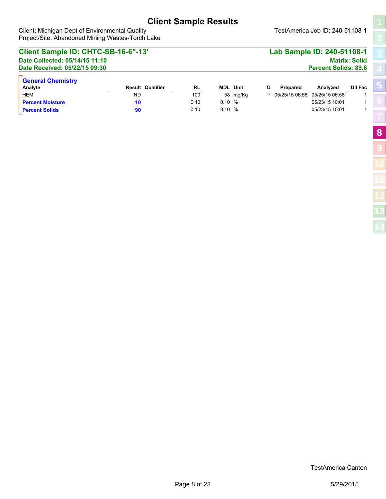<span id="page-7-1"></span>**[5](#page-4-0)**

**[8](#page-7-0)**

**[9](#page-12-0)**

#### <span id="page-7-0"></span>Client: Michigan Dept of Environmental Quality **TestAmerica Job ID: 240-51108-1** Project/Site: Abandoned Mining Wastes-Torch Lake

| Client Sample ID: CHTC-SB-16-6"-13'                             |                         |           |       |                 |   |          | Lab Sample ID: 240-51108-1                       |                      |
|-----------------------------------------------------------------|-------------------------|-----------|-------|-----------------|---|----------|--------------------------------------------------|----------------------|
| Date Collected: 05/14/15 11:10<br>Date Received: 05/22/15 09:30 |                         |           |       |                 |   |          | <b>Percent Solids: 89.8</b>                      | <b>Matrix: Solid</b> |
| <b>General Chemistry</b><br>Analyte                             | <b>Result Qualifier</b> | <b>RL</b> |       | <b>MDL</b> Unit | D | Prepared | Analyzed                                         | Dil Fac              |
| <b>HEM</b>                                                      | ND                      | 100       |       | 58 mg/Kg        |   |          | $\overline{\circ}$ 05/25/15 06:58 05/25/15 06:58 |                      |
| <b>Percent Moisture</b>                                         | 10                      | 0.10      | 0.10% |                 |   |          | 05/23/15 10:01                                   |                      |
| <b>Percent Solids</b>                                           | 90                      | 0.10      | 0.10% |                 |   |          | 05/23/15 10:01                                   |                      |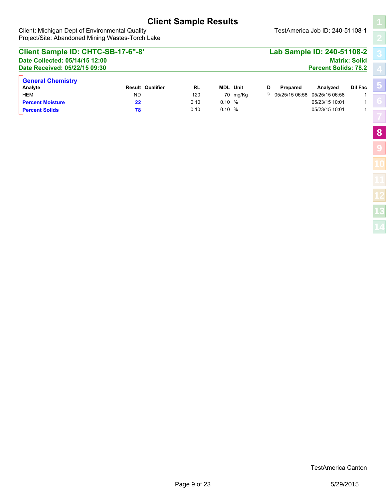Client: Michigan Dept of Environmental Quality **TestAmerica Job ID: 240-51108-1** Project/Site: Abandoned Mining Wastes-Torch Lake

**[5](#page-4-0)**

**[8](#page-7-0)**

**[9](#page-12-0)**

### **Client Sample ID: CHTC-SB-17-6"-8' Lab Sample ID: 240-51108-2 Date Collected: 05/14/15 12:00 Matrix: Solid Date Received: 05/22/15 09:30 Percent Solids: 78.2 General Chemistry Analyte Result Qualifier RL MDL Unit D Prepared Analyzed Dil Fac** HEM ND 120 70 mg/Kg ☼ 05/25/15 06:58 05/25/15 06:58 1 **Percent Moisture 22** 0.10 0.10 % 05/23/15 10:01 1 **Percent Solids 78** 0.10 0.10 % 05/23/15 10:01 1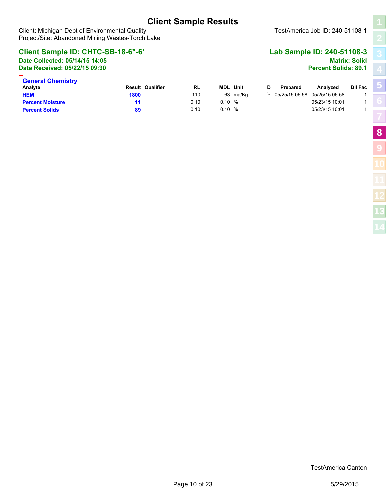Client: Michigan Dept of Environmental Quality **TestAmerica Job ID: 240-51108-1** Project/Site: Abandoned Mining Wastes-Torch Lake

### **Client Sample ID: CHTC-SB-18-6"-6' Lab Sample ID: 240-51108-3 Date Collected: 05/14/15 14:05 Matrix: Solid Date Received: 05/22/15 09:30 Percent Solids: 89.1 General Chemistry Analyte Result Qualifier RL MDL Unit D Prepared Analyzed Dil Fac HEM** 1800 1800 110 63 mg/Kg  $\overline{x}$  05/25/15 06:58 05/25/15 06:58 1 **Percent Moisture 11 11** 0.10 0.10 % 0.10 0.10 0.10 0.10 0.10 1 1 **Percent Solids 89** 0.10 0.10 % 05/23/15 10:01 1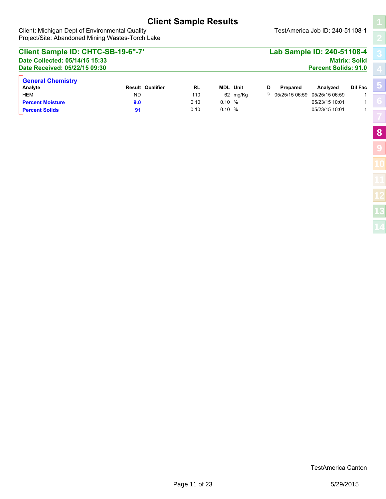**[5](#page-4-0)**

**[8](#page-7-0)**

**[9](#page-12-0)**

#### Client: Michigan Dept of Environmental Quality **TestAmerica Job ID: 240-51108-1** Project/Site: Abandoned Mining Wastes-Torch Lake

### **Client Sample ID: CHTC-SB-19-6"-7' Lab Sample ID: 240-51108-4 Date Collected: 05/14/15 15:33 Matrix: Solid Date Received: 05/22/15 09:30 Percent Solids: 91.0 General Chemistry Analyte Result Qualifier RL MDL Unit D Prepared Analyzed Dil Fac** HEM ND 110 62 mg/Kg ☼ 05/25/15 06:59 05/25/15 06:59 1 **Percent Moisture 9.0** 0.10 0.10 % 05/23/15 10:01 1 **Percent Solids 91** 0.10 0.10 % 05/23/15 10:01 1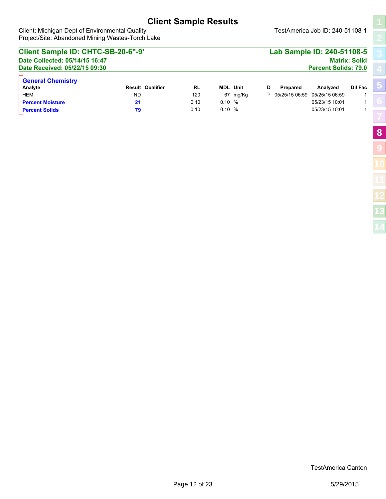Client: Michigan Dept of Environmental Quality **TestAmerica Job ID: 240-51108-1** Project/Site: Abandoned Mining Wastes-Torch Lake

**[5](#page-4-0)**

**[8](#page-7-0)**

**[9](#page-12-0)**

### **Client Sample ID: CHTC-SB-20-6"-9' Lab Sample ID: 240-51108-5 Date Collected: 05/14/15 16:47 Matrix: Solid Date Received: 05/22/15 09:30 Percent Solids: 79.0 General Chemistry Analyte Result Qualifier RL MDL Unit D Prepared Analyzed Dil Fac** HEM ND 120 67 mg/Kg ☼ 05/25/15 06:59 05/25/15 06:59 1 **Percent Moisture 21 21** 0.10 0.10 % 0.10 0.10 0.10 0.10 0.10 1 **Percent Solids 79** 0.10 0.10 % 05/23/15 10:01 1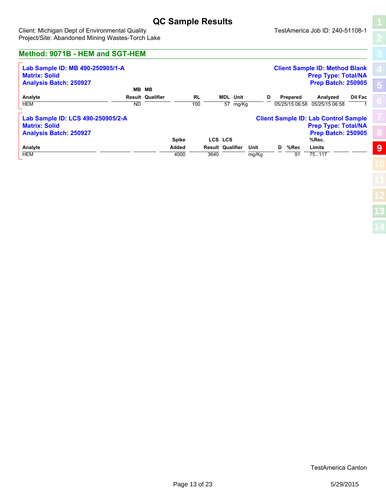# **QC Sample Results**

<span id="page-12-0"></span>Client: Michigan Dept of Environmental Quality **TestAmerica Job ID: 240-51108-1** Project/Site: Abandoned Mining Wastes-Torch Lake

<span id="page-12-1"></span>**[5](#page-4-0) [8](#page-7-0) [9](#page-12-0)**

### **Method: 9071B - HEM and SGT-HEM**

| Lab Sample ID: MB 490-250905/1-A<br><b>Matrix: Solid</b><br><b>Analysis Batch: 250927</b>  | MВ        | MВ                      |               |                  |                             |               |                 | <b>Client Sample ID: Method Blank</b><br><b>Prep Type: Total/NA</b><br><b>Prep Batch: 250905</b>                |                |
|--------------------------------------------------------------------------------------------|-----------|-------------------------|---------------|------------------|-----------------------------|---------------|-----------------|-----------------------------------------------------------------------------------------------------------------|----------------|
| Analyte<br><b>HEM</b>                                                                      | <b>ND</b> | <b>Result Qualifier</b> |               | <b>RL</b><br>100 | <b>MDL</b> Unit<br>57 mg/Kg | D             | Prepared        | Analyzed<br>05/25/15 06:58 05/25/15 06:58                                                                       | <b>Dil Fac</b> |
| Lab Sample ID: LCS 490-250905/2-A<br><b>Matrix: Solid</b><br><b>Analysis Batch: 250927</b> |           |                         | <b>Spike</b>  |                  | LCS LCS                     |               |                 | <b>Client Sample ID: Lab Control Sample</b><br><b>Prep Type: Total/NA</b><br><b>Prep Batch: 250905</b><br>%Rec. |                |
| Analyte<br><b>HEM</b>                                                                      |           |                         | Added<br>4000 | 3640             | <b>Result Qualifier</b>     | Unit<br>mg/Kg | D<br>%Rec<br>91 | Limits<br>$75 - 117$                                                                                            |                |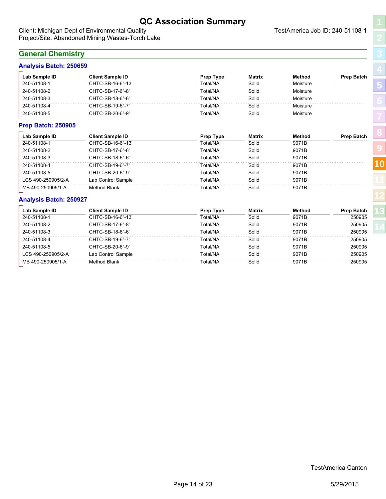# <span id="page-13-1"></span>**QC Association Summary**

<span id="page-13-0"></span>Client: Michigan Dept of Environmental Quality **TestAmerica Job ID: 240-51108-1** Project/Site: Abandoned Mining Wastes-Torch Lake

### **General Chemistry**

### **Analysis Batch: 250659**

| Lab Sample ID             | <b>Client Sample ID</b> | Prep Type | <b>Matrix</b> | Method   | <b>Prep Batch</b> |
|---------------------------|-------------------------|-----------|---------------|----------|-------------------|
| 240-51108-1               | CHTC-SB-16-6"-13'       | Total/NA  | Solid         | Moisture |                   |
| 240-51108-2               | CHTC-SB-17-6"-8'        | Total/NA  | Solid         | Moisture |                   |
| 240-51108-3               | CHTC-SB-18-6"-6"        | Total/NA  | Solid         | Moisture |                   |
| 240-51108-4               | CHTC-SB-19-6"-7"        | Total/NA  | Solid         | Moisture |                   |
| 240-51108-5               | CHTC-SB-20-6"-9'        | Total/NA  | Solid         | Moisture |                   |
| <b>Prep Batch: 250905</b> |                         |           |               |          |                   |
| Lab Sample ID             | <b>Client Sample ID</b> | Prep Type | <b>Matrix</b> | Method   | <b>Prep Batch</b> |
| 240-51108-1               | CHTC-SB-16-6"-13'       | Total/NA  | Solid         | 9071B    |                   |
| 240-51108-2               | CHTC-SB-17-6"-8'        | Total/NA  | Solid         | 9071B    |                   |
| 240-51108-3               | CHTC-SB-18-6"-6"        | Total/NA  | Solid         | 9071B    |                   |
| 240-51108-4               | CHTC-SB-19-6"-7"        | Total/NA  | Solid         | 9071B    |                   |
| 240-51108-5               | CHTC-SB-20-6"-9'        | Total/NA  | Solid         | 9071B    |                   |
| LCS 490-250905/2-A        | Lab Control Sample      | Total/NA  | Solid         | 9071B    |                   |
|                           |                         |           |               |          |                   |

#### **Analysis Batch: 250927**

| Lab Sample ID      | <b>Client Sample ID</b> | <b>Prep Type</b> | <b>Matrix</b> | Method | <b>Prep Batch</b> |
|--------------------|-------------------------|------------------|---------------|--------|-------------------|
| 240-51108-1        | CHTC-SB-16-6"-13'       | Total/NA         | Solid         | 9071B  | 250905            |
| 240-51108-2        | CHTC-SB-17-6"-8'        | Total/NA         | Solid         | 9071B  | 250905            |
| 240-51108-3        | CHTC-SB-18-6"-6'        | Total/NA         | Solid         | 9071B  | 250905            |
| 240-51108-4        | CHTC-SB-19-6"-7'        | Total/NA         | Solid         | 9071B  | 250905            |
| 240-51108-5        | CHTC-SB-20-6"-9'        | Total/NA         | Solid         | 9071B  | 250905            |
| LCS 490-250905/2-A | Lab Control Sample      | Total/NA         | Solid         | 9071B  | 250905            |
| MB 490-250905/1-A  | Method Blank            | Total/NA         | Solid         | 9071B  | 250905            |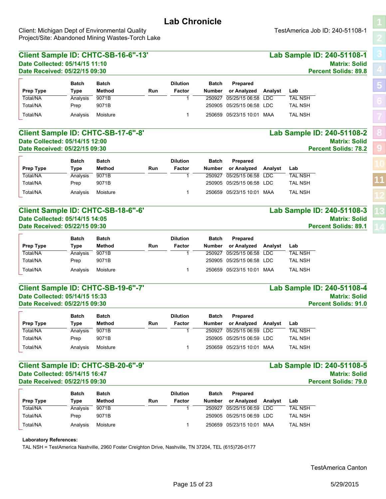<span id="page-14-1"></span><span id="page-14-0"></span>Client: Michigan Dept of Environmental Quality **TestAmerica Job ID: 240-51108-1** Project/Site: Abandoned Mining Wastes-Torch Lake

| Date Received: 05/22/15 09:30<br><b>Batch</b><br><b>Batch</b><br><b>Dilution</b><br>Prepared<br><b>Batch</b><br><b>Method</b><br>Factor<br>or Analyzed<br><b>Type</b><br>Run<br><b>Number</b><br>Analyst<br>Lab<br>9071B<br>05/25/15 06:58<br><b>TAL NSH</b><br>250927<br><b>LDC</b><br>Analysis<br>1<br>9071B<br>250905<br>05/25/15 06:58 LDC<br><b>TAL NSH</b><br>Prep<br>Moisture<br>05/23/15 10:01 MAA<br><b>TAL NSH</b><br>Analysis<br>1<br>250659<br>Lab Sample ID: 240-51108-2<br><b>Batch</b><br><b>Dilution</b><br>Prepared<br><b>Batch</b><br>Batch<br><b>Method</b><br>or Analyzed<br><b>Type</b><br>Run<br><b>Factor</b><br><b>Number</b><br>Analyst<br>Lab<br><b>TAL NSH</b><br>9071B<br>250927<br>05/25/15 06:58<br><b>LDC</b><br>Analysis<br>1<br>9071B<br>250905<br>05/25/15 06:58 LDC<br><b>TAL NSH</b><br>Prep<br>Moisture<br>250659 05/23/15 10:01 MAA<br><b>TAL NSH</b><br>Analysis<br>1<br>Lab Sample ID: 240-51108-3<br><b>Batch</b><br><b>Batch</b><br><b>Dilution</b><br>Prepared<br><b>Batch</b><br><b>Method</b><br><b>Run</b><br><b>Number</b><br>or Analyzed<br>Factor<br>Analyst<br>Lab<br>Type<br>9071B<br>250927<br>05/25/15 06:58<br><b>TAL NSH</b><br>Analysis<br><b>LDC</b><br>1<br>9071B<br>250905<br>05/25/15 06:58<br><b>LDC</b><br><b>TAL NSH</b><br>Prep<br>Moisture<br>250659 05/23/15 10:01 MAA<br><b>TAL NSH</b><br>Analysis<br>1<br>Lab Sample ID: 240-51108-4<br><b>Percent Solids: 91.0</b><br><b>Dilution</b><br>Prepared<br><b>Batch</b><br><b>Batch</b><br>Batch<br><b>Method</b><br>or Analyzed<br><b>Run</b><br>Factor<br><b>Number</b><br>Analyst<br>Type<br>Lab<br>Analysis<br>9071B<br>1<br>250927 05/25/15 06:59 LDC<br>TAL NSH<br>250905 05/25/15 06:59 LDC<br>9071B<br><b>TAL NSH</b><br>Prep<br>Moisture<br>250659 05/23/15 10:01 MAA<br><b>TAL NSH</b><br>Analysis<br>1<br>Lab Sample ID: 240-51108-5<br><b>Batch</b><br><b>Batch</b><br><b>Dilution</b><br><b>Batch</b><br>Prepared | Date Collected: 05/14/15 11:10 |             | Client Sample ID: CHTC-SB-16-6"-13' |     |        |        |             |         | Lab Sample ID: 240-51108-1<br><b>Matrix: Solid</b> |
|------------------------------------------------------------------------------------------------------------------------------------------------------------------------------------------------------------------------------------------------------------------------------------------------------------------------------------------------------------------------------------------------------------------------------------------------------------------------------------------------------------------------------------------------------------------------------------------------------------------------------------------------------------------------------------------------------------------------------------------------------------------------------------------------------------------------------------------------------------------------------------------------------------------------------------------------------------------------------------------------------------------------------------------------------------------------------------------------------------------------------------------------------------------------------------------------------------------------------------------------------------------------------------------------------------------------------------------------------------------------------------------------------------------------------------------------------------------------------------------------------------------------------------------------------------------------------------------------------------------------------------------------------------------------------------------------------------------------------------------------------------------------------------------------------------------------------------------------------------------------------------------------------------------------------------------------|--------------------------------|-------------|-------------------------------------|-----|--------|--------|-------------|---------|----------------------------------------------------|
| <b>Prep Type</b><br>Total/NA<br>Total/NA<br>Total/NA<br><b>Prep Type</b><br>Total/NA<br>Total/NA<br>Total/NA<br><b>Prep Type</b><br>Total/NA<br>Total/NA<br>Total/NA<br><b>Prep Type</b><br>Total/NA<br>Total/NA<br>Total/NA                                                                                                                                                                                                                                                                                                                                                                                                                                                                                                                                                                                                                                                                                                                                                                                                                                                                                                                                                                                                                                                                                                                                                                                                                                                                                                                                                                                                                                                                                                                                                                                                                                                                                                                   |                                |             |                                     |     |        |        |             |         | <b>Percent Solids: 89.8</b>                        |
|                                                                                                                                                                                                                                                                                                                                                                                                                                                                                                                                                                                                                                                                                                                                                                                                                                                                                                                                                                                                                                                                                                                                                                                                                                                                                                                                                                                                                                                                                                                                                                                                                                                                                                                                                                                                                                                                                                                                                |                                |             |                                     |     |        |        |             |         |                                                    |
|                                                                                                                                                                                                                                                                                                                                                                                                                                                                                                                                                                                                                                                                                                                                                                                                                                                                                                                                                                                                                                                                                                                                                                                                                                                                                                                                                                                                                                                                                                                                                                                                                                                                                                                                                                                                                                                                                                                                                |                                |             |                                     |     |        |        |             |         |                                                    |
|                                                                                                                                                                                                                                                                                                                                                                                                                                                                                                                                                                                                                                                                                                                                                                                                                                                                                                                                                                                                                                                                                                                                                                                                                                                                                                                                                                                                                                                                                                                                                                                                                                                                                                                                                                                                                                                                                                                                                |                                |             |                                     |     |        |        |             |         |                                                    |
|                                                                                                                                                                                                                                                                                                                                                                                                                                                                                                                                                                                                                                                                                                                                                                                                                                                                                                                                                                                                                                                                                                                                                                                                                                                                                                                                                                                                                                                                                                                                                                                                                                                                                                                                                                                                                                                                                                                                                |                                |             |                                     |     |        |        |             |         |                                                    |
| Client Sample ID: CHTC-SB-17-6"-8'<br>Date Collected: 05/14/15 12:00                                                                                                                                                                                                                                                                                                                                                                                                                                                                                                                                                                                                                                                                                                                                                                                                                                                                                                                                                                                                                                                                                                                                                                                                                                                                                                                                                                                                                                                                                                                                                                                                                                                                                                                                                                                                                                                                           |                                |             |                                     |     |        |        |             |         |                                                    |
|                                                                                                                                                                                                                                                                                                                                                                                                                                                                                                                                                                                                                                                                                                                                                                                                                                                                                                                                                                                                                                                                                                                                                                                                                                                                                                                                                                                                                                                                                                                                                                                                                                                                                                                                                                                                                                                                                                                                                |                                |             |                                     |     |        |        |             |         |                                                    |
|                                                                                                                                                                                                                                                                                                                                                                                                                                                                                                                                                                                                                                                                                                                                                                                                                                                                                                                                                                                                                                                                                                                                                                                                                                                                                                                                                                                                                                                                                                                                                                                                                                                                                                                                                                                                                                                                                                                                                |                                |             |                                     |     |        |        |             |         |                                                    |
| Date Received: 05/22/15 09:30<br>Client Sample ID: CHTC-SB-18-6"-6"<br>Date Collected: 05/14/15 14:05                                                                                                                                                                                                                                                                                                                                                                                                                                                                                                                                                                                                                                                                                                                                                                                                                                                                                                                                                                                                                                                                                                                                                                                                                                                                                                                                                                                                                                                                                                                                                                                                                                                                                                                                                                                                                                          |                                |             |                                     |     |        |        |             |         | <b>Matrix: Solid</b>                               |
|                                                                                                                                                                                                                                                                                                                                                                                                                                                                                                                                                                                                                                                                                                                                                                                                                                                                                                                                                                                                                                                                                                                                                                                                                                                                                                                                                                                                                                                                                                                                                                                                                                                                                                                                                                                                                                                                                                                                                |                                |             |                                     |     |        |        |             |         | <b>Percent Solids: 78.2</b>                        |
|                                                                                                                                                                                                                                                                                                                                                                                                                                                                                                                                                                                                                                                                                                                                                                                                                                                                                                                                                                                                                                                                                                                                                                                                                                                                                                                                                                                                                                                                                                                                                                                                                                                                                                                                                                                                                                                                                                                                                |                                |             |                                     |     |        |        |             |         |                                                    |
|                                                                                                                                                                                                                                                                                                                                                                                                                                                                                                                                                                                                                                                                                                                                                                                                                                                                                                                                                                                                                                                                                                                                                                                                                                                                                                                                                                                                                                                                                                                                                                                                                                                                                                                                                                                                                                                                                                                                                |                                |             |                                     |     |        |        |             |         |                                                    |
|                                                                                                                                                                                                                                                                                                                                                                                                                                                                                                                                                                                                                                                                                                                                                                                                                                                                                                                                                                                                                                                                                                                                                                                                                                                                                                                                                                                                                                                                                                                                                                                                                                                                                                                                                                                                                                                                                                                                                |                                |             |                                     |     |        |        |             |         |                                                    |
|                                                                                                                                                                                                                                                                                                                                                                                                                                                                                                                                                                                                                                                                                                                                                                                                                                                                                                                                                                                                                                                                                                                                                                                                                                                                                                                                                                                                                                                                                                                                                                                                                                                                                                                                                                                                                                                                                                                                                |                                |             |                                     |     |        |        |             |         |                                                    |
|                                                                                                                                                                                                                                                                                                                                                                                                                                                                                                                                                                                                                                                                                                                                                                                                                                                                                                                                                                                                                                                                                                                                                                                                                                                                                                                                                                                                                                                                                                                                                                                                                                                                                                                                                                                                                                                                                                                                                |                                |             |                                     |     |        |        |             |         |                                                    |
|                                                                                                                                                                                                                                                                                                                                                                                                                                                                                                                                                                                                                                                                                                                                                                                                                                                                                                                                                                                                                                                                                                                                                                                                                                                                                                                                                                                                                                                                                                                                                                                                                                                                                                                                                                                                                                                                                                                                                |                                |             |                                     |     |        |        |             |         |                                                    |
|                                                                                                                                                                                                                                                                                                                                                                                                                                                                                                                                                                                                                                                                                                                                                                                                                                                                                                                                                                                                                                                                                                                                                                                                                                                                                                                                                                                                                                                                                                                                                                                                                                                                                                                                                                                                                                                                                                                                                |                                |             |                                     |     |        |        |             |         |                                                    |
| Date Received: 05/22/15 09:30<br>Client Sample ID: CHTC-SB-19-6"-7'<br>Date Collected: 05/14/15 15:33<br>Date Received: 05/22/15 09:30<br>Client Sample ID: CHTC-SB-20-6"-9'<br>Date Collected: 05/14/15 16:47<br>Date Received: 05/22/15 09:30                                                                                                                                                                                                                                                                                                                                                                                                                                                                                                                                                                                                                                                                                                                                                                                                                                                                                                                                                                                                                                                                                                                                                                                                                                                                                                                                                                                                                                                                                                                                                                                                                                                                                                |                                |             |                                     |     |        |        |             |         | <b>Matrix: Solid</b>                               |
|                                                                                                                                                                                                                                                                                                                                                                                                                                                                                                                                                                                                                                                                                                                                                                                                                                                                                                                                                                                                                                                                                                                                                                                                                                                                                                                                                                                                                                                                                                                                                                                                                                                                                                                                                                                                                                                                                                                                                |                                |             |                                     |     |        |        |             |         | <b>Percent Solids: 89.1</b>                        |
|                                                                                                                                                                                                                                                                                                                                                                                                                                                                                                                                                                                                                                                                                                                                                                                                                                                                                                                                                                                                                                                                                                                                                                                                                                                                                                                                                                                                                                                                                                                                                                                                                                                                                                                                                                                                                                                                                                                                                |                                |             |                                     |     |        |        |             |         |                                                    |
|                                                                                                                                                                                                                                                                                                                                                                                                                                                                                                                                                                                                                                                                                                                                                                                                                                                                                                                                                                                                                                                                                                                                                                                                                                                                                                                                                                                                                                                                                                                                                                                                                                                                                                                                                                                                                                                                                                                                                |                                |             |                                     |     |        |        |             |         |                                                    |
|                                                                                                                                                                                                                                                                                                                                                                                                                                                                                                                                                                                                                                                                                                                                                                                                                                                                                                                                                                                                                                                                                                                                                                                                                                                                                                                                                                                                                                                                                                                                                                                                                                                                                                                                                                                                                                                                                                                                                |                                |             |                                     |     |        |        |             |         |                                                    |
|                                                                                                                                                                                                                                                                                                                                                                                                                                                                                                                                                                                                                                                                                                                                                                                                                                                                                                                                                                                                                                                                                                                                                                                                                                                                                                                                                                                                                                                                                                                                                                                                                                                                                                                                                                                                                                                                                                                                                |                                |             |                                     |     |        |        |             |         |                                                    |
|                                                                                                                                                                                                                                                                                                                                                                                                                                                                                                                                                                                                                                                                                                                                                                                                                                                                                                                                                                                                                                                                                                                                                                                                                                                                                                                                                                                                                                                                                                                                                                                                                                                                                                                                                                                                                                                                                                                                                |                                |             |                                     |     |        |        |             |         |                                                    |
|                                                                                                                                                                                                                                                                                                                                                                                                                                                                                                                                                                                                                                                                                                                                                                                                                                                                                                                                                                                                                                                                                                                                                                                                                                                                                                                                                                                                                                                                                                                                                                                                                                                                                                                                                                                                                                                                                                                                                |                                |             |                                     |     |        |        |             |         |                                                    |
|                                                                                                                                                                                                                                                                                                                                                                                                                                                                                                                                                                                                                                                                                                                                                                                                                                                                                                                                                                                                                                                                                                                                                                                                                                                                                                                                                                                                                                                                                                                                                                                                                                                                                                                                                                                                                                                                                                                                                |                                |             |                                     |     |        |        |             |         |                                                    |
|                                                                                                                                                                                                                                                                                                                                                                                                                                                                                                                                                                                                                                                                                                                                                                                                                                                                                                                                                                                                                                                                                                                                                                                                                                                                                                                                                                                                                                                                                                                                                                                                                                                                                                                                                                                                                                                                                                                                                |                                |             |                                     |     |        |        |             |         | <b>Matrix: Solid</b>                               |
|                                                                                                                                                                                                                                                                                                                                                                                                                                                                                                                                                                                                                                                                                                                                                                                                                                                                                                                                                                                                                                                                                                                                                                                                                                                                                                                                                                                                                                                                                                                                                                                                                                                                                                                                                                                                                                                                                                                                                |                                |             |                                     |     |        |        |             |         |                                                    |
|                                                                                                                                                                                                                                                                                                                                                                                                                                                                                                                                                                                                                                                                                                                                                                                                                                                                                                                                                                                                                                                                                                                                                                                                                                                                                                                                                                                                                                                                                                                                                                                                                                                                                                                                                                                                                                                                                                                                                |                                |             |                                     |     |        |        |             |         |                                                    |
|                                                                                                                                                                                                                                                                                                                                                                                                                                                                                                                                                                                                                                                                                                                                                                                                                                                                                                                                                                                                                                                                                                                                                                                                                                                                                                                                                                                                                                                                                                                                                                                                                                                                                                                                                                                                                                                                                                                                                |                                |             |                                     |     |        |        |             |         |                                                    |
|                                                                                                                                                                                                                                                                                                                                                                                                                                                                                                                                                                                                                                                                                                                                                                                                                                                                                                                                                                                                                                                                                                                                                                                                                                                                                                                                                                                                                                                                                                                                                                                                                                                                                                                                                                                                                                                                                                                                                |                                |             |                                     |     |        |        |             |         |                                                    |
|                                                                                                                                                                                                                                                                                                                                                                                                                                                                                                                                                                                                                                                                                                                                                                                                                                                                                                                                                                                                                                                                                                                                                                                                                                                                                                                                                                                                                                                                                                                                                                                                                                                                                                                                                                                                                                                                                                                                                |                                |             |                                     |     |        |        |             |         |                                                    |
|                                                                                                                                                                                                                                                                                                                                                                                                                                                                                                                                                                                                                                                                                                                                                                                                                                                                                                                                                                                                                                                                                                                                                                                                                                                                                                                                                                                                                                                                                                                                                                                                                                                                                                                                                                                                                                                                                                                                                |                                |             |                                     |     |        |        |             |         |                                                    |
|                                                                                                                                                                                                                                                                                                                                                                                                                                                                                                                                                                                                                                                                                                                                                                                                                                                                                                                                                                                                                                                                                                                                                                                                                                                                                                                                                                                                                                                                                                                                                                                                                                                                                                                                                                                                                                                                                                                                                |                                |             |                                     |     |        |        |             |         |                                                    |
|                                                                                                                                                                                                                                                                                                                                                                                                                                                                                                                                                                                                                                                                                                                                                                                                                                                                                                                                                                                                                                                                                                                                                                                                                                                                                                                                                                                                                                                                                                                                                                                                                                                                                                                                                                                                                                                                                                                                                |                                |             |                                     |     |        |        |             |         |                                                    |
|                                                                                                                                                                                                                                                                                                                                                                                                                                                                                                                                                                                                                                                                                                                                                                                                                                                                                                                                                                                                                                                                                                                                                                                                                                                                                                                                                                                                                                                                                                                                                                                                                                                                                                                                                                                                                                                                                                                                                |                                |             |                                     |     |        |        |             |         | <b>Matrix: Solid</b>                               |
|                                                                                                                                                                                                                                                                                                                                                                                                                                                                                                                                                                                                                                                                                                                                                                                                                                                                                                                                                                                                                                                                                                                                                                                                                                                                                                                                                                                                                                                                                                                                                                                                                                                                                                                                                                                                                                                                                                                                                |                                |             |                                     |     |        |        |             |         | <b>Percent Solids: 79.0</b>                        |
|                                                                                                                                                                                                                                                                                                                                                                                                                                                                                                                                                                                                                                                                                                                                                                                                                                                                                                                                                                                                                                                                                                                                                                                                                                                                                                                                                                                                                                                                                                                                                                                                                                                                                                                                                                                                                                                                                                                                                |                                |             |                                     |     |        |        |             |         |                                                    |
|                                                                                                                                                                                                                                                                                                                                                                                                                                                                                                                                                                                                                                                                                                                                                                                                                                                                                                                                                                                                                                                                                                                                                                                                                                                                                                                                                                                                                                                                                                                                                                                                                                                                                                                                                                                                                                                                                                                                                | <b>Prep Type</b>               | <b>Type</b> | Method                              | Run | Factor | Number | or Analyzed | Analyst | Lab                                                |
| Total/NA<br>9071B<br>05/25/15 06:59<br><b>TAL NSH</b><br>Analysis<br>250927<br>LDC<br>1                                                                                                                                                                                                                                                                                                                                                                                                                                                                                                                                                                                                                                                                                                                                                                                                                                                                                                                                                                                                                                                                                                                                                                                                                                                                                                                                                                                                                                                                                                                                                                                                                                                                                                                                                                                                                                                        |                                |             |                                     |     |        |        |             |         |                                                    |
| Total/NA<br>9071B<br>TAL NSH<br>250905 05/25/15 06:59 LDC<br>Prep                                                                                                                                                                                                                                                                                                                                                                                                                                                                                                                                                                                                                                                                                                                                                                                                                                                                                                                                                                                                                                                                                                                                                                                                                                                                                                                                                                                                                                                                                                                                                                                                                                                                                                                                                                                                                                                                              |                                |             |                                     |     |        |        |             |         |                                                    |

#### **Laboratory References:**

TAL NSH = TestAmerica Nashville, 2960 Foster Creighton Drive, Nashville, TN 37204, TEL (615)726-0177

Total/NA Analysis Moisture 1 250659 05/23/15 10:01 MAA TAL NSH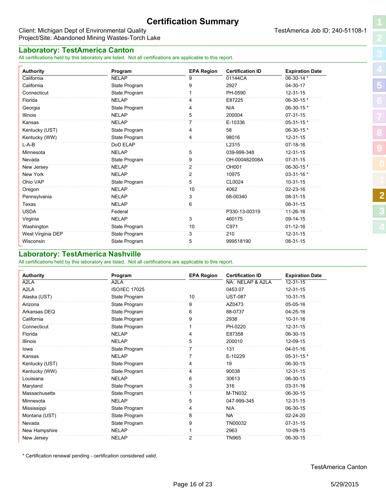# **Certification Summary**

**Authority Program EPA Region Certification ID Expiration Date** California NELAP 9 01144CA 06-30-14 \* California State Program 9 2927 04-30-17 Connecticut Connecticut State Program 1 PH-0590 12-31-15 Florida NELAP 4 E87225 06-30-15 \* Georgia and State Program 3 and 4 N/A 06-30-15 \* Illinois NELAP 5 200004 07-31-15 Kansas NELAP 7 E-10336 05-31-15 \* Kentucky (UST) State Program 4 58 06-30-15 \* Kentucky (WW) **State Program 12-31-15** State Program 14 98016 12-31-15 L-A-B DoD ELAP L2315 07-18-16 Minnesota NELAP 5 039-999-348 12-31-15 Nevada State Program 9 OH-000482008A 07-31-15

Virginia NELAP 3 460175 09-14-15

West Virginia DEP State Program 3 210 12-31-15 Wisconsin **1986** 108-31-15 State Program 5 5 999518190 08-31-15

Washington State Program 10 C971 01-12-16<br>
10 C971 01-12-16 **10** C971 01-12-16

#### <span id="page-15-0"></span>Client: Michigan Dept of Environmental Quality **TestAmerica Job ID: 240-51108-1** Project/Site: Abandoned Mining Wastes-Torch Lake

#### **Laboratory: TestAmerica Canton**

All certifications held by this laboratory are listed. Not all certifications are applicable to this report.

| Minnesota    | NELAP         |    | 039-999-348   | 12-31-15        |  |
|--------------|---------------|----|---------------|-----------------|--|
| Nevada       | State Program |    | OH-000482008A | $07-31-15$      |  |
| New Jersey   | <b>NELAP</b>  |    | OH001         | 06-30-15 *      |  |
| New York     | <b>NELAP</b>  |    | 10975         | $03 - 31 - 16*$ |  |
| Ohio VAP     | State Program |    | CL0024        | 10-31-15        |  |
| Oregon       | <b>NELAP</b>  | 10 | 4062          | $02 - 23 - 16$  |  |
| Pennsylvania | <b>NELAP</b>  |    | 68-00340      | 08-31-15        |  |
| Texas        | <b>NELAP</b>  | 6  |               | 08-31-15        |  |
| USDA         | Federal       |    | P330-13-00319 | 11-26-16        |  |
|              |               |    |               |                 |  |

<span id="page-15-1"></span>

### **Laboratory: TestAmerica Nashville**

All certifications held by this laboratory are listed. Not all certifications are applicable to this report.

| <b>Authority</b> | Program              | <b>EPA Region</b> | <b>Certification ID</b> | <b>Expiration Date</b> |
|------------------|----------------------|-------------------|-------------------------|------------------------|
| A2LA             | A2LA                 |                   | NA: NELAP & A2LA        | 12-31-15               |
| A2LA             | <b>ISO/IEC 17025</b> |                   | 0453.07                 | 12-31-15               |
| Alaska (UST)     | State Program        | 10                | <b>UST-087</b>          | $10-31-15$             |
| Arizona          | State Program        | 9                 | AZ0473                  | 05-05-16               |
| Arkansas DEQ     | State Program        | 6                 | 88-0737                 | 04-25-16               |
| California       | State Program        | 9                 | 2938                    | 10-31-16               |
| Connecticut      | State Program        |                   | PH-0220                 | 12-31-15               |
| Florida          | <b>NELAP</b>         | 4                 | E87358                  | 06-30-15               |
| <b>Illinois</b>  | <b>NELAP</b>         | 5                 | 200010                  | 12-09-15               |
| lowa             | State Program        | 7                 | 131                     | 04-01-16               |
| Kansas           | <b>NELAP</b>         |                   | E-10229                 | 05-31-15 *             |
| Kentucky (UST)   | State Program        |                   | 19                      | 06-30-15               |
| Kentucky (WW)    | State Program        | 4                 | 90038                   | 12-31-15               |
| Louisiana        | <b>NELAP</b>         | 6                 | 30613                   | 06-30-15               |
| Maryland         | State Program        | 3                 | 316                     | 03-31-16               |
| Massachusetts    | State Program        |                   | <b>M-TN032</b>          | 06-30-15               |
| Minnesota        | <b>NELAP</b>         | 5                 | 047-999-345             | 12-31-15               |
| Mississippi      | State Program        | 4                 | N/A                     | 06-30-15               |
| Montana (UST)    | State Program        | 8                 | <b>NA</b>               | 02-24-20               |
| Nevada           | State Program        | 9                 | TN00032                 | $07-31-15$             |
| New Hampshire    | <b>NELAP</b>         |                   | 2963                    | 10-09-15               |
| New Jersey       | <b>NELAP</b>         | 2                 | <b>TN965</b>            | 06-30-15               |

\* Certification renewal pending - certification considered valid.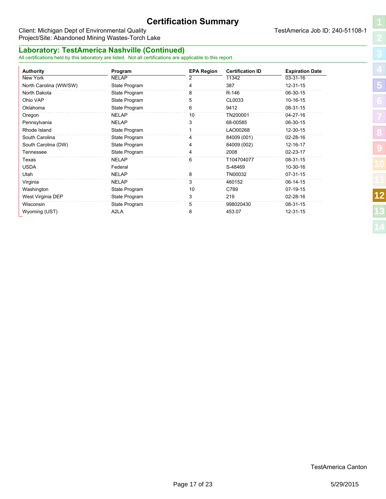# **Certification Summary**

**Authority Program EPA Region Certification ID Expiration Date** New York NELAP 2 11342 03-31-16 North Carolina (WW/SW) State Program 14 387 12-31-15 North Dakota **State Program 8** R-146 06-30-15 Ohio VAP State Program 5 CL0033 10-16-15 Oklahoma State Program 6 9412 08-31-15 Oregon NELAP 10 TN200001 04-27-16 Pennsylvania 2008-30-15 NELAP 3 68-00585 06-30-15 Rhode Island **1** Change island State Program 1 1 LAO00268 12-30-15 South Carolina State Program 4 84009 (001) 02-28-16 South Carolina (DW) State Program 4 84009 (002) 12-16-17 Tennessee State Program 4 2008 02-23-17 Texas NELAP 6 T104704077 08-31-15 USDA Federal S-48469 10-30-16 Utah NELAP 8 TN00032 07-31-15 Virginia NELAP 3 460152 06-14-15 Washington **10 C789 07-19-15** CHA C789 07-19-15 West Virginia DEP **State Program** 3 219 28-16 02-28-16 Wisconsin 884th State Program 5 998020430 08-31-15 Wyoming (UST) A2LA 8 453.07 12-31-15

#### Client: Michigan Dept of Environmental Quality **TestAmerica Job ID: 240-51108-1** Project/Site: Abandoned Mining Wastes-Torch Lake

### **Laboratory: TestAmerica Nashville (Continued)**

All certifications held by this laboratory are listed. Not all certifications are applicable to this report.

**[5](#page-4-0) [8](#page-7-0) [9](#page-12-0)**

**[12](#page-15-0)**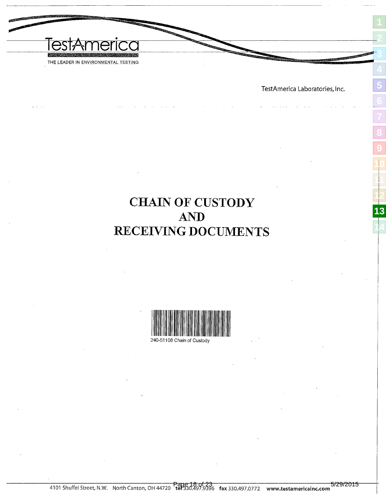<span id="page-17-0"></span>

TestAmerica Laboratories, Inc.

<span id="page-17-1"></span>

# **CHAIN OF CUSTODY AND** RECEIVING DOCUMENTS

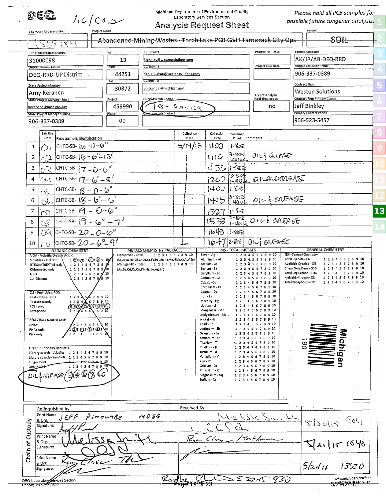Michigan Department of Environmental Quality dea Please hold all PCB samples for Laboratory Services Section  $l_{i}$ 6 (Co,  $\Rightarrow$ possible future congener analysis. **Analysis Request Sheet** .<br>Matrix Lap Work Urder Number **[2](#page-1-0)** SOIL Abandoned-Mining-Wastes--Torch-Lake-PCB-C&H-Tamarack-City-Ops كى ج ا با t-email-1 Project-IAI-Days ample-Collector **[3](#page-2-0)** Site Code/Project Ni AK/JP/AB-DEQ-RRD 13 i.binkley@westonsolutions.com 31000098 .<br>Sample Collector Phone  $\tau$  Email **TOIECT Due Date** Dept-Division-District 44251 daniel.liebau@westonsolutions.com 906-337-0389 DEQ-RRD-UP District CC Email 3 **[5](#page-4-0)** Contract Firm **State Project Manager** 30872 pincumbel@michigan.gov **Weston Solutions** Amy Keranen Accept Analys<mark>i</mark> Contract Firm Primary Contae State Project Manager Email Overflow Lab Choice 1 hold time codes Project keranena@michigan.gov 456990 est America no Jeff Binkley **State Project Manager Phone** mary Contact Phor 906-337-0389 00 906-523-5457 **[8](#page-7-0)** Lab Use Collection Collection Container Only Field Sample Identification Date Time Count Comment: CHTC-SB-  $16 - 0 - 6$ <sup>tt</sup> 5/14/15  $1 - 822$  $\mathbf{1}$  $1100$ **[9](#page-12-0)** Ο CHTC-SB-16 - 6-13 3-806  $OIL$  & GREASE  $\overline{2}$  $110$ 140 M  $\overline{3}$ CHTC-SB- $(7 - 0 - 6^4)$  $1155$  $1 - 802$ Ś 3-802  $|$ CHTC-SB-  $|7 - 6^* - 8^*|$  $\overline{4}$ CXI 12OO O ILALDQREASE -40 1400  $1 - 50t$ CHTC-SB-  $18 - 0 - 6^{4}$ 5 **[12](#page-15-0)** 3-802<br>1-40m CHTC-SB-18 -  $6 - 6$ 1405 OIL & GREASE 6  $(\sqrt{2})$ CHTC-SB- $\mathfrak{S}$  -  $O - \omega^{\mathfrak{t} \mathfrak{t}}$ **[13](#page-17-0)**  $\overline{7}$  $1 - 803$ 1527 3-5-E CHTC-SB-  $[9 - 6^6 - 7^6]$ OLLE ONEASE 8 CV.  $1533$  $1 - 400$ **[14](#page-22-0)**CHTC-SB- $20 - 0 - 6^w$ 1643  $1 - 80$ 09 9 |снтс-ѕв-  $20$  –  $\acute{\omega}$  "– $9^{\prime\prime}$  $1647$ OIL; EREASE 2.803 10  $\triangle$ ORGANIC CHEMISTRY **TOTAL METALS GENERAL CHEMISTRY METALS CHEMISTRY PACKAGES**  $M<sub>S</sub>$ 1 2 3 4 5 6 7 8 9 10 1 2 3 4 5 6 7 8 9 10 GS - General Chemistry VOA - Volatile Organic Acidic OpMemo2 - Total Silver - Ag un.<br>1Ωэ@15 ©7 ®9 10<br>12345 678 9 10 Aluminum - Al 1 2 3 4 5 6 7 8 9 10 Total Cvanide - CN 1 2 3 4 5 6 7 8 9 10 Volatiles - Full List (Sb,As,Ba,Be,Cd,Cr,Cu,Co,Fe,Pb,Mn,Hg,Mo,Ni,Se,Ag,Tl,V,Zn) BTEX/MTBE/TMB on 1 2 3 4 5 6 7 8 9 10 Available Cvanide - CN  $1\ 2\ 3\ 4\ 5\ 6\ 7\ 8\ 9\ 10$ Michigan10 - Total 1 2 3 4 5 6 7 8 9 10 Arsenic - As 1 2 3 4 5 6 7 8 9 10 Chem Oxyg Dem - COD Chlorinated only 1 2 3 4 5 6 7 8 9 (As, Ba, Cd, Cr, Cu, Pb, Hg, Se, Ag, Zn) Barium - Ba 1 2 3 4 5 6 7 8 9 10 Beryllium - Be 1 2 3 4 5 6 7 8 9 10 Total Org Carbon - TOC 1 2 3 4 5 6 7 8 9 10 GRO  $\begin{array}{cccc}\n2 & 3 & 4 & 5 & 6 & 7 & 8 & 10 \\
2 & 3 & 4 & 5 & 6 & 7 & 8 & 9 & 10\n\end{array}$ Cadmium - Cd 2 3 4 5 6 7 8 9 10 Kjeldahl Nitrogen - KN 1 2 3 4 5 6 7 8 9 10  $\mathbf{1}$ 1.4 Dioxane Cohalt - Co 2 3 4 5 6 7 8 9 10 Total Phosphorus - TP 1 2 3 4 5 6 7 8 9 10 Chromium - Cr 2345678910 í Copper - Cu 2 3 4 5 6 7 8 9 10 OS - Pesticides, PCBs 1 678910 Iron - Fe 1 2 3 4 5 6 7 8 9 10 Pesticides & PCRs  $1.2.3$ Mercury - Hg 2 3 4 5 6 7 8 9 10 Pestícides only 1234678930 PC8s only Lithium - LL 2 3 4 5 6 7 8 9 10  $\sqrt{8910}$ Toxaphene Έ Manganese - Mn 1 2 3 4 5 6 7 8 9 10 Molybdenum - Mo 1 2 3 4 5 6 7 8 9 10 Nickel - Ni 1 2 3 4 5 6 7 8 10 BNA - Base Neutral Acids Lead - Pb 1 2 3 4 5 6 7 8 9 10 8NAs 3 4 5 6 7 8 10 (2)3 @ 5 (3)7 @ 9 Antimony - Sb 12345678910 PNAs only N٥ Michigar Selenium - Se 1 2 3 4 5 6 7 8 9 10 **BNs only** 4567891 Strontium - Sr 1 2 3 4 5 6 7 8 9 10 Titanium - Ti  $-1$  2 3 4 5 6 7 8 9 10 CС Thallium - Tl 1 2 3 4 5 6 7 8 9 10 **Organic Specialty Requests** Library search - Volatiles Uranium - U 1 2 3 4 5 6 7 8 9 10  $\mathbf 1$  $\overline{2}$ 3 4 5 6 7 8 9 10 Vanadium - V 1 2 3 4 5 6 7 8 9 10 Library search - SemiVols 1 2 3 4 5 6 7 8 9 10  $zlnc - 2n$ 1 2 3 4 5 6 7 8 9 10 **Finger Print**  $-8.9.10$ 123456789 Calcium - Ca 1 2 3 4 5 6 7 8 9 10 DRO LOR  $D(L)$  or  $A \equiv (2)Q$   $G$   $G$ Potassium - K 1 2 3 4 5 6 7 8 9 10 Magnesium - Mg 1 2 3 4 5 6 7 8 9 10 Sodium - Na 1 2 3 4 5 6 7 8 9 10 Received By Relinquished by Print Name m 0 E4 Jelisse Sna:  $JEF$  $F$ سے 15 سے سے دکھ  $q$ cl<sub>(</sub> & Org.  $515075$ Custody Signature: Print Name Tost Ameri  $\sqrt{2}a\cdot1151640$ Chain of & Org. Signature: Print Name

|                            |  |  | DEQ Laboratory envices Section |  |
|----------------------------|--|--|--------------------------------|--|
| <b>Phone: 517.345.0800</b> |  |  |                                |  |

Signature:

& Org.

1350

 $5b\omega$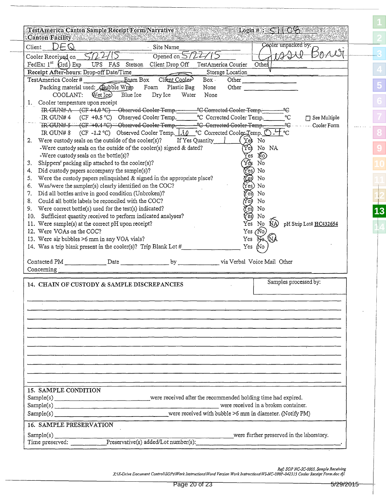| DEQ<br>Client                                                                                                                                                                                                                                                                                                                                                                                 | Canton Facility and Second Market and Market and | · Site Name                     |                           |              |          | Cooler unpacked by:       |
|-----------------------------------------------------------------------------------------------------------------------------------------------------------------------------------------------------------------------------------------------------------------------------------------------------------------------------------------------------------------------------------------------|--------------------------------------------------|---------------------------------|---------------------------|--------------|----------|---------------------------|
| Cooler Received on                                                                                                                                                                                                                                                                                                                                                                            |                                                  | Opened on $5/2$                 |                           |              |          |                           |
| FedEx: $I^{st}$ (Grd) Exp                                                                                                                                                                                                                                                                                                                                                                     |                                                  | UPS FAS Stetson Client Drop Off | TestAmerica Courier       |              | Other    |                           |
| Receipt After-hours: Drop-off Date/Time                                                                                                                                                                                                                                                                                                                                                       |                                                  |                                 | Storage Location          |              |          |                           |
| TestAmerica Cooler#                                                                                                                                                                                                                                                                                                                                                                           | Eoam Box                                         | Client Cooler                   | Box                       | Other        |          |                           |
| Packing material used: Bubble Wrap                                                                                                                                                                                                                                                                                                                                                            |                                                  | Foam<br>Plastic Bag             | None                      | Other        |          |                           |
| COOLANT:                                                                                                                                                                                                                                                                                                                                                                                      | Wet Ice)<br>Blue Ice                             | Dry Ice<br>Water                | None                      |              |          |                           |
| 1. Cooler temperature upon receipt                                                                                                                                                                                                                                                                                                                                                            |                                                  |                                 |                           |              |          |                           |
| IR-GUN#A (CF+4.0 °C) Observed Cooler Temp. C Corrected Cooler Temp.                                                                                                                                                                                                                                                                                                                           |                                                  |                                 |                           |              |          |                           |
| IR GUN# 4 $(CF + 0.5 °C)$ Observed Cooler Temp.                                                                                                                                                                                                                                                                                                                                               |                                                  |                                 | °C Corrected Cooler Temp. |              |          | °C<br>$\Box$ See Multiple |
| TR-GUN# 5 (CF-+0.4 °C) - Observed Cooler Temp. - - - °C Corrected Cooler Temp.                                                                                                                                                                                                                                                                                                                |                                                  |                                 |                           |              |          | - Cooler Form             |
| IR GUN# 8 (CF-1.2 °C) Observed Cooler Temp. $(0.001)(0.0000)$ C Corrected Cooler Temp. $\bigcirc$ .                                                                                                                                                                                                                                                                                           |                                                  |                                 |                           |              |          |                           |
|                                                                                                                                                                                                                                                                                                                                                                                               |                                                  |                                 |                           |              |          |                           |
| 2. Were custody seals on the outside of the cooler(s)? If Yes Quantity                                                                                                                                                                                                                                                                                                                        |                                                  |                                 |                           | Ye)          | No       |                           |
| -Were custody seals on the outside of the cooler(s) signed & dated?                                                                                                                                                                                                                                                                                                                           |                                                  |                                 |                           | $\vec{Y}$ ey | No NA    |                           |
| -Were custody seals on the bottle(s)?                                                                                                                                                                                                                                                                                                                                                         |                                                  |                                 |                           | Yes          | NO)      |                           |
| Shippers' packing slip attached to the cooler(s)?<br>3.                                                                                                                                                                                                                                                                                                                                       |                                                  |                                 |                           | Yès          | No       |                           |
| Did custody papers accompany the sample(s)?<br>4.                                                                                                                                                                                                                                                                                                                                             |                                                  |                                 |                           |              | No       |                           |
| Were the custody papers relinquished & signed in the appropriate place?<br>5.                                                                                                                                                                                                                                                                                                                 |                                                  |                                 |                           |              | No       |                           |
| Was/were the sampler(s) clearly identified on the COC?<br>6.                                                                                                                                                                                                                                                                                                                                  |                                                  |                                 |                           |              | No       |                           |
| Did all bottles arrive in good condition (Unbroken)?<br>7.                                                                                                                                                                                                                                                                                                                                    |                                                  |                                 |                           |              | No       |                           |
| Could all bottle labels be reconciled with the COC?<br>8.                                                                                                                                                                                                                                                                                                                                     |                                                  |                                 |                           |              | No       |                           |
| 9. Were correct bottle(s) used for the test(s) indicated?                                                                                                                                                                                                                                                                                                                                     |                                                  |                                 |                           |              | No       |                           |
| 10. Sufficient quantity received to perform indicated analyses?                                                                                                                                                                                                                                                                                                                               |                                                  |                                 |                           |              | No       |                           |
| 11. Were sample(s) at the correct pH upon receipt?                                                                                                                                                                                                                                                                                                                                            |                                                  |                                 |                           | Yes          | ŃĄ<br>No | pH Strip Lot# HC432654    |
| 12. Were VOAs on the COC?                                                                                                                                                                                                                                                                                                                                                                     |                                                  |                                 |                           | Yes (No)     |          |                           |
| 13. Were air bubbles >6 mm in any VOA vials?                                                                                                                                                                                                                                                                                                                                                  |                                                  |                                 |                           | Yes          | Na Wa    |                           |
| 14. Was a trip blank present in the cooler(s)? Trip Blank Lot $#$                                                                                                                                                                                                                                                                                                                             |                                                  |                                 |                           | Yes          | ſN٥      |                           |
|                                                                                                                                                                                                                                                                                                                                                                                               |                                                  |                                 |                           |              |          |                           |
| Contacted PM _______________Date ____________________by ______________via Verbal Voice Mail Other                                                                                                                                                                                                                                                                                             |                                                  |                                 |                           |              |          |                           |
| Concerning :                                                                                                                                                                                                                                                                                                                                                                                  |                                                  |                                 |                           |              |          |                           |
|                                                                                                                                                                                                                                                                                                                                                                                               |                                                  |                                 |                           |              |          |                           |
| 14. CHAIN OF CUSTODY & SAMPLE DISCREPANCIES                                                                                                                                                                                                                                                                                                                                                   |                                                  |                                 |                           |              |          | Samples processed by:     |
|                                                                                                                                                                                                                                                                                                                                                                                               |                                                  |                                 |                           |              |          |                           |
|                                                                                                                                                                                                                                                                                                                                                                                               |                                                  |                                 |                           |              |          |                           |
|                                                                                                                                                                                                                                                                                                                                                                                               |                                                  |                                 |                           |              |          |                           |
|                                                                                                                                                                                                                                                                                                                                                                                               |                                                  |                                 |                           |              |          |                           |
|                                                                                                                                                                                                                                                                                                                                                                                               |                                                  |                                 |                           |              |          |                           |
|                                                                                                                                                                                                                                                                                                                                                                                               |                                                  |                                 |                           |              |          |                           |
|                                                                                                                                                                                                                                                                                                                                                                                               |                                                  |                                 |                           |              |          |                           |
|                                                                                                                                                                                                                                                                                                                                                                                               |                                                  |                                 |                           |              |          |                           |
|                                                                                                                                                                                                                                                                                                                                                                                               |                                                  |                                 |                           |              |          |                           |
|                                                                                                                                                                                                                                                                                                                                                                                               |                                                  |                                 |                           |              |          |                           |
|                                                                                                                                                                                                                                                                                                                                                                                               |                                                  |                                 |                           |              |          |                           |
|                                                                                                                                                                                                                                                                                                                                                                                               |                                                  |                                 |                           |              |          |                           |
|                                                                                                                                                                                                                                                                                                                                                                                               |                                                  |                                 |                           |              |          |                           |
|                                                                                                                                                                                                                                                                                                                                                                                               |                                                  |                                 |                           |              |          |                           |
|                                                                                                                                                                                                                                                                                                                                                                                               |                                                  |                                 |                           |              |          |                           |
|                                                                                                                                                                                                                                                                                                                                                                                               |                                                  |                                 |                           |              |          |                           |
|                                                                                                                                                                                                                                                                                                                                                                                               |                                                  |                                 |                           |              |          |                           |
|                                                                                                                                                                                                                                                                                                                                                                                               |                                                  |                                 |                           |              |          |                           |
|                                                                                                                                                                                                                                                                                                                                                                                               |                                                  |                                 |                           |              |          |                           |
| 15. SAMPLE CONDITION<br>Sample(s) _________________________________were received after the recommended holding time had expired.<br>Sample(s) Sample(s) Sample(s) Sample(s) Sample(s) Sample(s) Sample(s) Sample(s) Sample(s) Sample(s) Sample(s) Sample(s) Sample(s) Sample(s) Sample(s) Sample(s) Sample(s) Sample(s) Sample(s) Sample(s) Sample(s) Sample(s) Sa<br>16. SAMPLE PRESERVATION |                                                  |                                 |                           |              |          |                           |

Ref: SOP NC-SC-0005, Sample Receiving<br>X:\X-Drive Document Control\SOPs\Work Instructions\Word Version Work Instructions\WI-NC-099P-042315 Cooler Receipt Form.doc djl.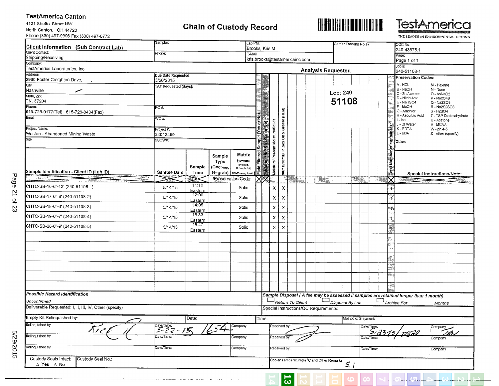#### **TestAmerica Canton**

4101 Shuffel Street NW North Canton, OH 44720 Phone (330) 497-9396 Fax (330) 497-0772

# **Chain of Custody Record**





THE LEADER IN ENVIRONMENTAL TESTING

**[1](#page-0-1)**

| Sampler:<br>Lab PM:<br>Carrier Tracking No(s):<br>Client Information (Sub Contract Lab)<br>Brooks, Kris M |                                                          |                  |                                        |                       |       |       |                                   |                           |   | COC No:              |                                       |        |                                             |                       |                     |                          |  |               |                                                                                     |                                      |  |
|-----------------------------------------------------------------------------------------------------------|----------------------------------------------------------|------------------|----------------------------------------|-----------------------|-------|-------|-----------------------------------|---------------------------|---|----------------------|---------------------------------------|--------|---------------------------------------------|-----------------------|---------------------|--------------------------|--|---------------|-------------------------------------------------------------------------------------|--------------------------------------|--|
| Client Contact:                                                                                           | Phone:<br>E-Mail:<br>kris.brooks@testamericainc.com      |                  |                                        |                       |       |       |                                   |                           |   | 240-43675.1<br>Page: |                                       |        |                                             |                       |                     |                          |  |               |                                                                                     |                                      |  |
| Shipping/Receiving<br>Company:                                                                            |                                                          |                  |                                        |                       |       |       |                                   |                           |   |                      |                                       |        |                                             |                       |                     |                          |  |               | Page 1 of 1                                                                         |                                      |  |
| TestAmerica Laboratories, Inc                                                                             |                                                          |                  |                                        |                       |       |       |                                   |                           |   |                      |                                       |        | <b>Analysis Requested</b>                   |                       |                     |                          |  |               | Job #:<br>240-51108-1                                                               |                                      |  |
| Address:                                                                                                  | Due Date Requested:                                      |                  |                                        |                       |       |       |                                   |                           |   |                      |                                       |        |                                             |                       |                     |                          |  |               | <b>Preservation Codes:</b>                                                          |                                      |  |
| 2960 Foster Creighton Drive,<br>City:                                                                     | 5/26/2015                                                |                  |                                        |                       |       |       |                                   |                           |   |                      |                                       |        |                                             |                       |                     |                          |  |               | A-HCL                                                                               | M - Hexane                           |  |
| Nashville<br>بمسر                                                                                         | <b>TAT Requested (days):</b>                             |                  |                                        |                       |       |       |                                   |                           |   |                      |                                       |        | Loc: 240                                    |                       |                     |                          |  |               | B - NaOH                                                                            | N - None                             |  |
| State, Zip:                                                                                               |                                                          |                  |                                        |                       |       |       |                                   |                           |   |                      |                                       |        |                                             |                       |                     |                          |  |               | C - Zn Acetate<br>D - Nitric Acid                                                   | O - AsNaO2<br>P - Na2O4S             |  |
| TN, 37204<br>Phone:                                                                                       |                                                          |                  |                                        |                       |       |       |                                   |                           |   |                      |                                       |        |                                             | 51108                 |                     |                          |  |               | E - NaHSO4<br>F - MeOH                                                              | Q - Na2SO3<br>R - Na2S2SO3           |  |
| 615-726-0177(Tel) 615-726-3404(Fax)                                                                       | PO#:                                                     |                  |                                        |                       |       |       |                                   |                           |   |                      |                                       |        |                                             |                       |                     |                          |  |               | G - Amchlor                                                                         | S-H2SO4                              |  |
| Email:                                                                                                    | WO#:                                                     |                  |                                        |                       |       |       |                                   |                           |   |                      |                                       |        |                                             |                       |                     |                          |  |               | H - Ascorbic Acid<br>I - Ice                                                        | T - TSP Dodecahydrate<br>U - Acetone |  |
| Project Name:                                                                                             |                                                          |                  |                                        |                       | 6     |       |                                   |                           |   |                      |                                       |        |                                             |                       |                     |                          |  |               | J - DI Water<br>K - EDTA                                                            | V - MCAA                             |  |
| Weston - Abandoned Mining Waste                                                                           | Project #:<br>24012499                                   |                  |                                        |                       |       |       |                                   |                           |   |                      |                                       |        |                                             |                       |                     |                          |  |               | L - EDA                                                                             | W - ph 4-5<br>Z - other (specify)    |  |
| Site:                                                                                                     | SSOW#:                                                   |                  |                                        |                       |       |       | Moisture/ Percent Moisture/Solids | Sox Oil & Grease (HEM)    |   |                      |                                       |        |                                             |                       |                     |                          |  | containers    | Other:                                                                              |                                      |  |
|                                                                                                           |                                                          |                  |                                        |                       |       |       |                                   |                           |   |                      |                                       |        |                                             |                       |                     |                          |  | 5             |                                                                                     |                                      |  |
|                                                                                                           |                                                          |                  | Sample                                 | Matrix                |       |       |                                   |                           |   |                      |                                       |        |                                             |                       |                     |                          |  |               |                                                                                     |                                      |  |
|                                                                                                           |                                                          |                  | Type                                   | (W=water,<br>S=solid, |       |       |                                   |                           |   |                      |                                       |        |                                             |                       |                     |                          |  |               |                                                                                     |                                      |  |
| Sample Identification - Client ID (Lab ID)                                                                | Sample Date                                              | Sample<br>Time   | (C=comp,<br>G=grab)   BT=Tissue, A=Air | O=waste/oil,          | Field |       |                                   | 9071B/9071B_P             |   |                      |                                       |        |                                             |                       |                     |                          |  | Total Number  |                                                                                     |                                      |  |
| $+32222$<br>网络投票<br><b>Same</b>                                                                           |                                                          |                  | Préservation Code:                     |                       |       |       |                                   |                           | m |                      |                                       | $\sim$ |                                             |                       | <b>BAR</b>          |                          |  |               | <b>COMPANIES</b>                                                                    | Special Instructions/Note:           |  |
| CHTC-SB-16-6"-13' (240-51108-1)                                                                           | 5/14/15                                                  | 11:10            |                                        | Solid                 |       |       | $\mathsf{X}$                      | $\mathsf{X}$              |   |                      |                                       |        |                                             |                       |                     |                          |  |               |                                                                                     |                                      |  |
| CHTC-SB-17-6"-8' (240-51108-2)                                                                            | 5/14/15                                                  | Eastern<br>12:00 |                                        | Solid                 |       |       | X                                 | $\pmb{\times}$            |   |                      |                                       |        |                                             |                       |                     |                          |  | 11<br>ို      |                                                                                     |                                      |  |
| CHTC-SB-18-6"-6' (240-51108-3)                                                                            | 5/14/15                                                  | Eastern<br>14:05 |                                        | Solid                 |       |       | $\mathsf{x}$                      | $\pmb{\chi}$              |   |                      |                                       |        |                                             |                       |                     |                          |  |               |                                                                                     |                                      |  |
|                                                                                                           |                                                          | Eastern<br>15:33 |                                        |                       |       |       |                                   |                           |   |                      |                                       |        |                                             |                       |                     |                          |  | œр,           |                                                                                     |                                      |  |
| CHTC-SB-19-6"-7' (240-51108-4)                                                                            | 5/14/15                                                  | Eastern          |                                        | Solid                 |       |       | $\pmb{\chi}$                      | $\pmb{\chi}$              |   |                      |                                       |        |                                             |                       |                     |                          |  | $\frac{1}{2}$ |                                                                                     |                                      |  |
| CHTC-SB-20-6"-9' (240-51108-5)                                                                            | 5/14/15                                                  | 16:47<br>Eastern |                                        | Solid                 |       |       | $\mathsf{X}$                      | $\boldsymbol{\mathsf{x}}$ |   |                      |                                       |        |                                             |                       |                     |                          |  | Ã             |                                                                                     |                                      |  |
|                                                                                                           |                                                          |                  |                                        |                       |       |       |                                   |                           |   |                      |                                       |        |                                             |                       |                     |                          |  |               |                                                                                     |                                      |  |
|                                                                                                           |                                                          |                  |                                        |                       |       |       |                                   |                           |   |                      |                                       |        |                                             |                       |                     |                          |  |               |                                                                                     |                                      |  |
|                                                                                                           |                                                          |                  |                                        |                       |       |       |                                   |                           |   |                      |                                       |        |                                             |                       |                     |                          |  | ð.            |                                                                                     |                                      |  |
|                                                                                                           |                                                          |                  |                                        |                       |       |       |                                   |                           |   |                      |                                       |        |                                             |                       |                     |                          |  | LXAM<br>فتناز |                                                                                     |                                      |  |
|                                                                                                           |                                                          |                  |                                        |                       |       |       |                                   |                           |   |                      |                                       |        |                                             |                       |                     |                          |  | hip,          |                                                                                     |                                      |  |
|                                                                                                           |                                                          |                  |                                        |                       |       |       |                                   |                           |   |                      |                                       |        |                                             |                       |                     |                          |  | - Teg         |                                                                                     |                                      |  |
| Possible Hazard Identification                                                                            |                                                          |                  |                                        |                       |       |       |                                   |                           |   |                      |                                       |        |                                             |                       |                     |                          |  |               | Sample Disposal (A fee may be assessed if samples are retained longer than 1 month) |                                      |  |
| Unconfirmed                                                                                               |                                                          |                  |                                        |                       |       |       |                                   |                           |   | Return To Client     |                                       |        |                                             |                       | Disposal By Lab     |                          |  |               | $\Box$ Archive For                                                                  | Months                               |  |
| Deliverable Requested: I, II, III, IV, Other (specify)                                                    |                                                          |                  |                                        |                       |       |       |                                   |                           |   |                      | Special Instructions/QC Requirements: |        |                                             |                       |                     |                          |  |               |                                                                                     |                                      |  |
| Empty Kit Relinquished by:                                                                                |                                                          | Date:            |                                        |                       |       | Time: |                                   |                           |   |                      |                                       |        |                                             |                       | Method of Shipment: |                          |  |               |                                                                                     |                                      |  |
| Relinquished by:                                                                                          | $\frac{\text{Date/Time:}}{\frac{5}{2} \cdot 2 \cdot 75}$ |                  | $\sqrt{54}$                            | Company               |       |       |                                   | Received by:              |   |                      |                                       |        |                                             |                       |                     | Date/Time:<br>$5.735151$ |  |               |                                                                                     | Company                              |  |
| Relinquished by:                                                                                          | Date $\sqrt{T}$ ime:                                     |                  |                                        | Company               |       |       |                                   | Received by:              |   |                      |                                       |        |                                             |                       |                     | Date/Time:               |  |               | <u> 1220 </u>                                                                       | i A<br>Company                       |  |
| Relinquished by:                                                                                          | Date/Time:                                               |                  |                                        | Company               |       |       |                                   | Received by:              |   |                      |                                       |        |                                             |                       |                     | Date/Time:               |  |               |                                                                                     | Company                              |  |
| Custody Seals Intact:<br>Custody Seal No.:                                                                |                                                          |                  |                                        |                       |       |       |                                   |                           |   |                      |                                       |        |                                             |                       |                     |                          |  |               |                                                                                     |                                      |  |
| $\Delta$ Yes $\Delta$ No                                                                                  |                                                          |                  |                                        |                       |       |       |                                   |                           |   |                      |                                       |        | Cooler Temperature(s) °C and Other Remarks: | $\mathcal{S}_{\cdot}$ |                     |                          |  |               |                                                                                     |                                      |  |
|                                                                                                           |                                                          |                  |                                        |                       |       |       |                                   |                           |   |                      |                                       |        |                                             |                       |                     |                          |  |               |                                                                                     |                                      |  |
|                                                                                                           |                                                          |                  |                                        |                       |       |       |                                   |                           |   |                      |                                       |        |                                             |                       |                     |                          |  |               |                                                                                     |                                      |  |

Page 21 of 23 Page 21 of 23

5/29/2015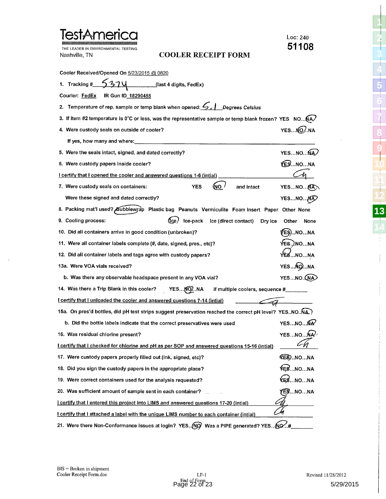| <b>TestAmeric</b>                                                                                        | Loc: 240<br>51108    |
|----------------------------------------------------------------------------------------------------------|----------------------|
| LEADER IN ENVIRONMENTAL TESTING<br><b>COOLER RECEIPT FORM</b><br>Nashville, TN                           |                      |
| Cooler Received/Opened On 5/23/2015 @ 0820                                                               |                      |
| 1. Tracking $\frac{\# \text{S374}}{\# \text{S374}}$ (last 4 digits, FedEx)                               |                      |
| Courier: FedEx<br><b>IR Gun ID 18290455</b>                                                              |                      |
| Temperature of rep. sample or temp blank when opened: C   Degrees Celsius                                |                      |
| 3. If Item #2 temperature is 0°C or less, was the representative sample or temp blank frozen? YES NO(A.  |                      |
| 4. Were custody seals on outside of cooler?                                                              | YESNO.NA             |
| If yes, how many and where:                                                                              |                      |
| 5. Were the seals intact, signed, and dated correctly?                                                   | YESNONA              |
| 6. Were custody papers inside cooler?                                                                    | <b>YESNONA</b>       |
| I certify that I opened the cooler and answered questions 1-6 (intial)                                   |                      |
| ίNΟ.<br>7. Were custody seals on containers:<br>YES<br>and Intact                                        | YESNONA              |
| Were these signed and dated correctly?                                                                   | YESNONA              |
| 8. Packing mat'l used? Bubblewyap Plastic bag Peanuts Vermiculite Foam Insert Paper Other None           |                      |
| (Ice /<br>Ice-pack Ice (direct contact)<br>9. Cooling process:<br>Dry ice                                | Other<br>None        |
| 10. Did all containers arrive in good condition (unbroken)?                                              | EŞ)NO…NA             |
| 11. Were all container labels complete (#, date, signed, pres., etc)?                                    | YES. <i>)</i> .NO…NA |
| 12. Did all container labels and tags agree with custody papers?                                         | YÈ8…NO…NA            |
| 13a. Were VOA vials received?                                                                            | YESNONA              |
| b. Was there any observable headspace present in any VOA vial?                                           | YESNO. (NA)          |
| 14. Was there a Trip Blank in this cooler? YES NO NA<br>If multiple coolers, sequence #_______           |                      |
| I certify that I unloaded the cooler and answered questions 7-14 (intial)                                |                      |
| 15a. On pres'd bottles, did pH test strips suggest preservation reached the correct pH level? YES.NO.NA. |                      |
| b. Did the bottle labels indicate that the correct preservatives were used                               | YESNONA              |
| 16. Was residual chlorine present?                                                                       | YESNONA              |
| I certify that I checked for chlorine and pH as per SOP and answered questions 15-16 (intial)            |                      |
| 17. Were custody papers properly filled out (ink, signed, etc)?                                          | <b>VEG.NONA</b>      |
| 18. Did you sign the custody papers in the appropriate place?                                            | <b>⊁ES…NO…NA</b>     |
| 19. Were correct containers used for the analysis requested?                                             | ŒS.…NO…NA            |
| 20. Was sufficient amount of sample sent in each container?                                              | <i>f</i> ES…NO…NA    |
| I certify that I entered this project into LIMS and answered questions 17-20 (intial)                    |                      |
| <b>I certify that I attached a label with the unique LIMS number to each container (intial)</b>          |                      |
| 21. Were there Non-Conformance issues at login? YES NO Was a PIPE generated? YES NO #                    |                      |

 $\lambda$ 

 

 $\frac{1}{4}$